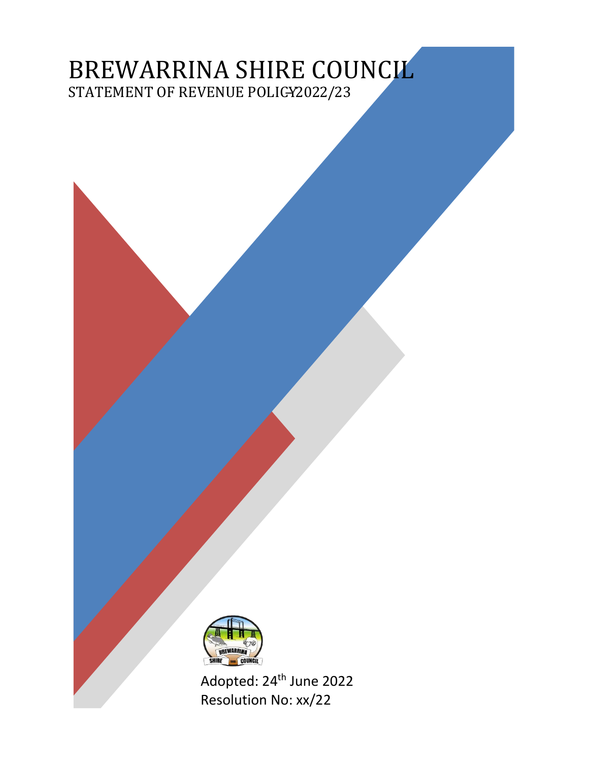# BREWARRINA SHIRE COUNCIL STATEMENT OF REVENUE POLICY2022/23



Adopted: 24<sup>th</sup> June 2022 Resolution No: xx/22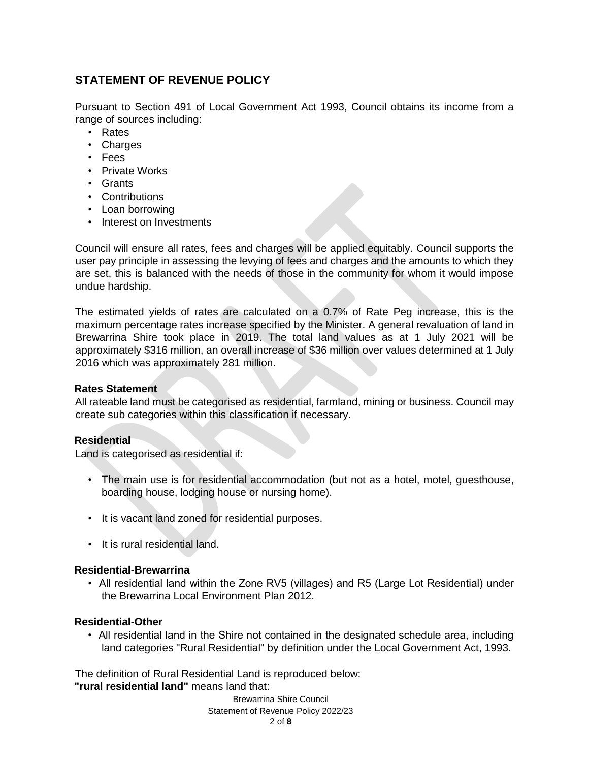# **STATEMENT OF REVENUE POLICY**

Pursuant to Section 491 of Local Government Act 1993, Council obtains its income from a range of sources including:

- Rates
- Charges
- Fees
- Private Works
- Grants
- Contributions
- Loan borrowing
- Interest on Investments

Council will ensure all rates, fees and charges will be applied equitably. Council supports the user pay principle in assessing the levying of fees and charges and the amounts to which they are set, this is balanced with the needs of those in the community for whom it would impose undue hardship.

The estimated yields of rates are calculated on a 0.7% of Rate Peg increase, this is the maximum percentage rates increase specified by the Minister. A general revaluation of land in Brewarrina Shire took place in 2019. The total land values as at 1 July 2021 will be approximately \$316 million, an overall increase of \$36 million over values determined at 1 July 2016 which was approximately 281 million.

#### **Rates Statement**

All rateable land must be categorised as residential, farmland, mining or business. Council may create sub categories within this classification if necessary.

#### **Residential**

Land is categorised as residential if:

- The main use is for residential accommodation (but not as a hotel, motel, guesthouse, boarding house, lodging house or nursing home).
- It is vacant land zoned for residential purposes.
- It is rural residential land.

#### **Residential-Brewarrina**

• All residential land within the Zone RV5 (villages) and R5 (Large Lot Residential) under the Brewarrina Local Environment Plan 2012.

#### **Residential-Other**

• All residential land in the Shire not contained in the designated schedule area, including land categories "Rural Residential" by definition under the Local Government Act, 1993.

The definition of Rural Residential Land is reproduced below: **"rural residential land"** means land that: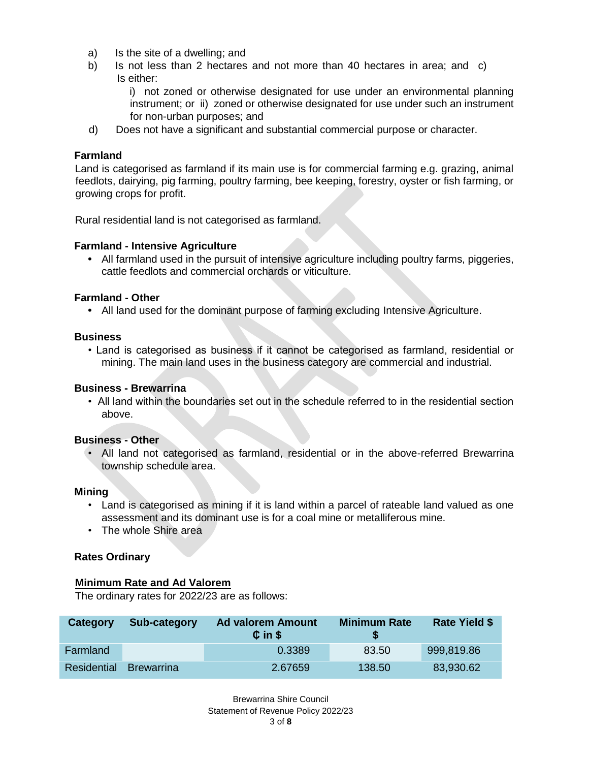- a) Is the site of a dwelling; and
- b) Is not less than 2 hectares and not more than 40 hectares in area; and c) Is either:

i) not zoned or otherwise designated for use under an environmental planning instrument; or ii) zoned or otherwise designated for use under such an instrument for non-urban purposes; and

d) Does not have a significant and substantial commercial purpose or character.

#### **Farmland**

Land is categorised as farmland if its main use is for commercial farming e.g. grazing, animal feedlots, dairying, pig farming, poultry farming, bee keeping, forestry, oyster or fish farming, or growing crops for profit.

Rural residential land is not categorised as farmland.

#### **Farmland - Intensive Agriculture**

**•** All farmland used in the pursuit of intensive agriculture including poultry farms, piggeries, cattle feedlots and commercial orchards or viticulture.

#### **Farmland - Other**

**•** All land used for the dominant purpose of farming excluding Intensive Agriculture.

#### **Business**

• Land is categorised as business if it cannot be categorised as farmland, residential or mining. The main land uses in the business category are commercial and industrial.

# **Business - Brewarrina**

• All land within the boundaries set out in the schedule referred to in the residential section above.

# **Business - Other**

• All land not categorised as farmland, residential or in the above-referred Brewarrina township schedule area.

#### **Mining**

- Land is categorised as mining if it is land within a parcel of rateable land valued as one assessment and its dominant use is for a coal mine or metalliferous mine.
- The whole Shire area

# **Rates Ordinary**

#### **Minimum Rate and Ad Valorem**

The ordinary rates for 2022/23 are as follows:

| Category    | Sub-category      | <b>Ad valorem Amount</b><br>$C$ in $S$ | <b>Minimum Rate</b> | <b>Rate Yield \$</b> |
|-------------|-------------------|----------------------------------------|---------------------|----------------------|
| Farmland    |                   | 0.3389                                 | 83.50               | 999,819.86           |
| Residential | <b>Brewarrina</b> | 2.67659                                | 138.50              | 83,930.62            |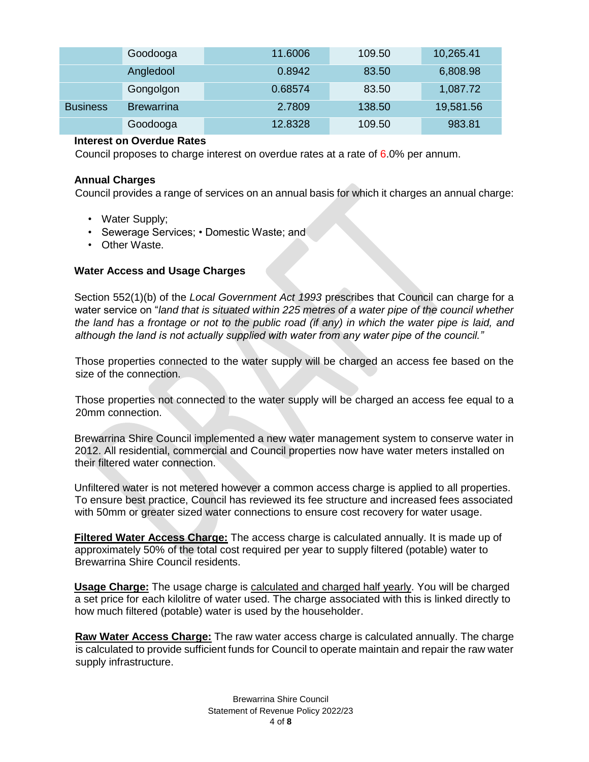|                 | Goodooga          | 11.6006 | 109.50 | 10,265.41 |
|-----------------|-------------------|---------|--------|-----------|
|                 | Angledool         | 0.8942  | 83.50  | 6,808.98  |
|                 | Gongolgon         | 0.68574 | 83.50  | 1,087.72  |
| <b>Business</b> | <b>Brewarrina</b> | 2.7809  | 138.50 | 19,581.56 |
|                 | Goodooga          | 12.8328 | 109.50 | 983.81    |

#### **Interest on Overdue Rates**

Council proposes to charge interest on overdue rates at a rate of 6.0% per annum.

#### **Annual Charges**

Council provides a range of services on an annual basis for which it charges an annual charge:

- Water Supply;
- Sewerage Services; Domestic Waste; and
- Other Waste.

#### **Water Access and Usage Charges**

Section 552(1)(b) of the *Local Government Act 1993* prescribes that Council can charge for a water service on "*land that is situated within 225 metres of a water pipe of the council whether the land has a frontage or not to the public road (if any) in which the water pipe is laid, and although the land is not actually supplied with water from any water pipe of the council."*

Those properties connected to the water supply will be charged an access fee based on the size of the connection.

Those properties not connected to the water supply will be charged an access fee equal to a 20mm connection.

Brewarrina Shire Council implemented a new water management system to conserve water in 2012. All residential, commercial and Council properties now have water meters installed on their filtered water connection.

Unfiltered water is not metered however a common access charge is applied to all properties. To ensure best practice, Council has reviewed its fee structure and increased fees associated with 50mm or greater sized water connections to ensure cost recovery for water usage.

**Filtered Water Access Charge:** The access charge is calculated annually. It is made up of approximately 50% of the total cost required per year to supply filtered (potable) water to Brewarrina Shire Council residents.

**Usage Charge:** The usage charge is calculated and charged half yearly. You will be charged a set price for each kilolitre of water used. The charge associated with this is linked directly to how much filtered (potable) water is used by the householder.

**Raw Water Access Charge:** The raw water access charge is calculated annually. The charge is calculated to provide sufficient funds for Council to operate maintain and repair the raw water supply infrastructure.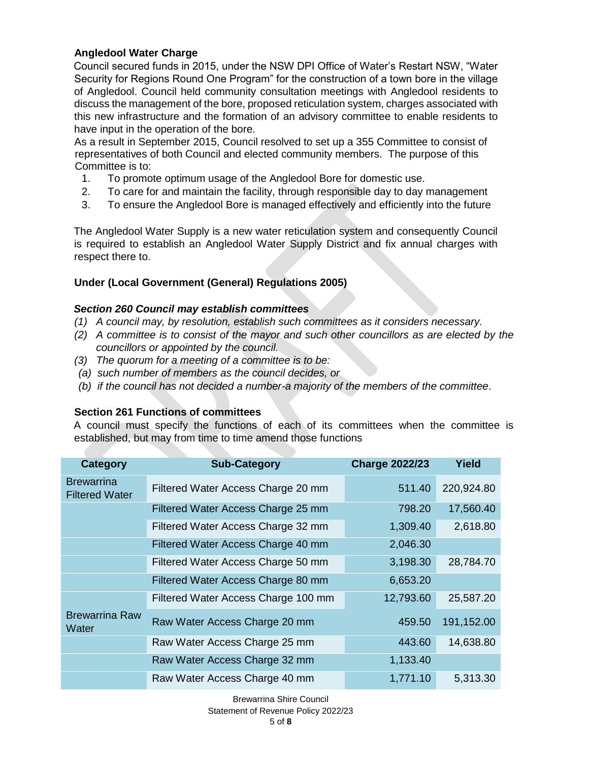# **Angledool Water Charge**

Council secured funds in 2015, under the NSW DPI Office of Water's Restart NSW, "Water Security for Regions Round One Program" for the construction of a town bore in the village of Angledool. Council held community consultation meetings with Angledool residents to discuss the management of the bore, proposed reticulation system, charges associated with this new infrastructure and the formation of an advisory committee to enable residents to have input in the operation of the bore.

As a result in September 2015, Council resolved to set up a 355 Committee to consist of representatives of both Council and elected community members. The purpose of this Committee is to:

- 1. To promote optimum usage of the Angledool Bore for domestic use.
- 2. To care for and maintain the facility, through responsible day to day management
- 3. To ensure the Angledool Bore is managed effectively and efficiently into the future

The Angledool Water Supply is a new water reticulation system and consequently Council is required to establish an Angledool Water Supply District and fix annual charges with respect there to.

# **Under (Local Government (General) Regulations 2005)**

# *Section 260 Council may establish committees*

- *(1) A council may, by resolution, establish such committees as it considers necessary.*
- *(2) A committee is to consist of the mayor and such other councillors as are elected by the councillors or appointed by the council.*
- *(3) The quorum for a meeting of a committee is to be:*
- *(a) such number of members as the council decides, or*
- *(b) if the council has not decided a number-a majority of the members of the committee*.

# **Section 261 Functions of committees**

A council must specify the functions of each of its committees when the committee is established, but may from time to time amend those functions

| <b>Category</b>                            | <b>Sub-Category</b>                 | <b>Charge 2022/23</b> | <b>Yield</b> |
|--------------------------------------------|-------------------------------------|-----------------------|--------------|
| <b>Brewarrina</b><br><b>Filtered Water</b> | Filtered Water Access Charge 20 mm  | 511.40                | 220,924.80   |
|                                            | Filtered Water Access Charge 25 mm  | 798.20                | 17,560.40    |
|                                            | Filtered Water Access Charge 32 mm  | 1,309.40              | 2,618.80     |
|                                            | Filtered Water Access Charge 40 mm  | 2,046.30              |              |
|                                            | Filtered Water Access Charge 50 mm  | 3,198.30              | 28,784.70    |
|                                            | Filtered Water Access Charge 80 mm  | 6,653.20              |              |
|                                            | Filtered Water Access Charge 100 mm | 12,793.60             | 25,587.20    |
| <b>Brewarrina Raw</b><br>Water             | Raw Water Access Charge 20 mm       | 459.50                | 191,152.00   |
|                                            | Raw Water Access Charge 25 mm       | 443.60                | 14,638.80    |
|                                            | Raw Water Access Charge 32 mm       | 1,133.40              |              |
|                                            | Raw Water Access Charge 40 mm       | 1,771.10              | 5,313.30     |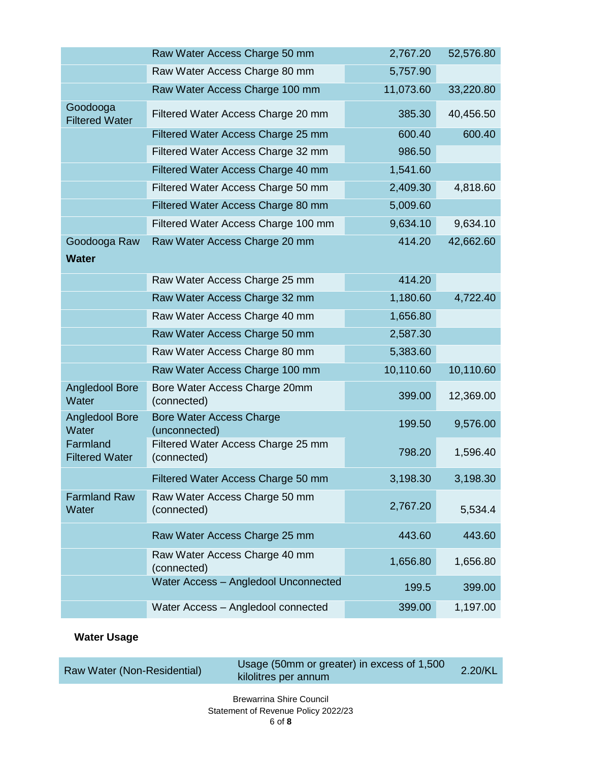|                                   | Raw Water Access Charge 50 mm                     | 2,767.20  | 52,576.80 |
|-----------------------------------|---------------------------------------------------|-----------|-----------|
|                                   | Raw Water Access Charge 80 mm                     | 5,757.90  |           |
|                                   | Raw Water Access Charge 100 mm                    | 11,073.60 | 33,220.80 |
| Goodooga<br><b>Filtered Water</b> | Filtered Water Access Charge 20 mm                | 385.30    | 40,456.50 |
|                                   | Filtered Water Access Charge 25 mm                | 600.40    | 600.40    |
|                                   | Filtered Water Access Charge 32 mm                | 986.50    |           |
|                                   | Filtered Water Access Charge 40 mm                | 1,541.60  |           |
|                                   | Filtered Water Access Charge 50 mm                | 2,409.30  | 4,818.60  |
|                                   | Filtered Water Access Charge 80 mm                | 5,009.60  |           |
|                                   | Filtered Water Access Charge 100 mm               | 9,634.10  | 9,634.10  |
| Goodooga Raw<br><b>Water</b>      | Raw Water Access Charge 20 mm                     | 414.20    | 42,662.60 |
|                                   | Raw Water Access Charge 25 mm                     | 414.20    |           |
|                                   | Raw Water Access Charge 32 mm                     | 1,180.60  | 4,722.40  |
|                                   | Raw Water Access Charge 40 mm                     | 1,656.80  |           |
|                                   | Raw Water Access Charge 50 mm                     | 2,587.30  |           |
|                                   | Raw Water Access Charge 80 mm                     | 5,383.60  |           |
|                                   | Raw Water Access Charge 100 mm                    | 10,110.60 | 10,110.60 |
| <b>Angledool Bore</b><br>Water    | Bore Water Access Charge 20mm<br>(connected)      | 399.00    | 12,369.00 |
| <b>Angledool Bore</b><br>Water    | <b>Bore Water Access Charge</b><br>(unconnected)  | 199.50    | 9,576.00  |
| Farmland<br><b>Filtered Water</b> | Filtered Water Access Charge 25 mm<br>(connected) | 798.20    | 1,596.40  |
|                                   | Filtered Water Access Charge 50 mm                | 3,198.30  | 3,198.30  |
| <b>Farmland Raw</b><br>Water      | Raw Water Access Charge 50 mm<br>(connected)      | 2,767.20  | 5,534.4   |
|                                   | Raw Water Access Charge 25 mm                     | 443.60    | 443.60    |
|                                   | Raw Water Access Charge 40 mm<br>(connected)      | 1,656.80  | 1,656.80  |
|                                   | Water Access - Angledool Unconnected              | 199.5     | 399.00    |
|                                   | Water Access - Angledool connected                | 399.00    | 1,197.00  |

# **Water Usage**

| Raw Water (Non-Residential) | Usage (50mm or greater) in excess of 1,500<br>kilolitres per annum | $2.20$ /KL |
|-----------------------------|--------------------------------------------------------------------|------------|
|                             | <b>Rrowarring Shire Council</b>                                    |            |

# Brewarrina Shire Council Statement of Revenue Policy 2022/23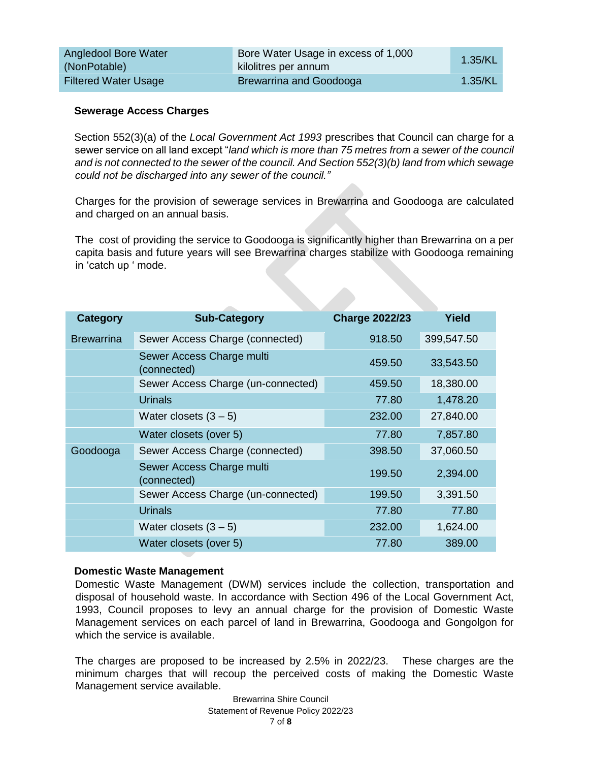| Angledool Bore Water<br>(NonPotable) | Bore Water Usage in excess of 1,000<br>kilolitres per annum | 1.35/KL |
|--------------------------------------|-------------------------------------------------------------|---------|
| <b>Filtered Water Usage</b>          | Brewarrina and Goodooga                                     | 1.35/KL |

#### **Sewerage Access Charges**

Section 552(3)(a) of the *Local Government Act 1993* prescribes that Council can charge for a sewer service on all land except "*land which is more than 75 metres from a sewer of the council and is not connected to the sewer of the council. And Section 552(3)(b) land from which sewage could not be discharged into any sewer of the council."* 

Charges for the provision of sewerage services in Brewarrina and Goodooga are calculated and charged on an annual basis.

The cost of providing the service to Goodooga is significantly higher than Brewarrina on a per capita basis and future years will see Brewarrina charges stabilize with Goodooga remaining in 'catch up ' mode.

| <b>Category</b>   | <b>Sub-Category</b>                      | <b>Charge 2022/23</b> | <b>Yield</b> |
|-------------------|------------------------------------------|-----------------------|--------------|
| <b>Brewarrina</b> | Sewer Access Charge (connected)          | 918.50                | 399,547.50   |
|                   | Sewer Access Charge multi<br>(connected) | 459.50                | 33,543.50    |
|                   | Sewer Access Charge (un-connected)       | 459.50                | 18,380.00    |
|                   | <b>Urinals</b>                           | 77.80                 | 1,478.20     |
|                   | Water closets $(3 - 5)$                  | 232.00                | 27,840.00    |
|                   | Water closets (over 5)                   | 77.80                 | 7,857.80     |
| Goodooga          | Sewer Access Charge (connected)          | 398.50                | 37,060.50    |
|                   | Sewer Access Charge multi<br>(connected) | 199.50                | 2,394.00     |
|                   | Sewer Access Charge (un-connected)       | 199.50                | 3,391.50     |
|                   | <b>Urinals</b>                           | 77.80                 | 77.80        |
|                   | Water closets $(3-5)$                    | 232.00                | 1,624.00     |
|                   | Water closets (over 5)                   | 77.80                 | 389.00       |

#### **Domestic Waste Management**

Domestic Waste Management (DWM) services include the collection, transportation and disposal of household waste. In accordance with Section 496 of the Local Government Act, 1993, Council proposes to levy an annual charge for the provision of Domestic Waste Management services on each parcel of land in Brewarrina, Goodooga and Gongolgon for which the service is available.

The charges are proposed to be increased by 2.5% in 2022/23. These charges are the minimum charges that will recoup the perceived costs of making the Domestic Waste Management service available.